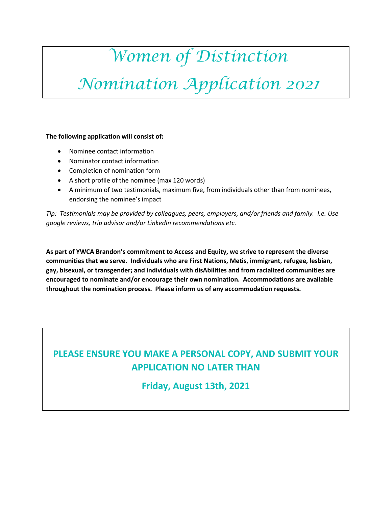# *Women of Distinction*

# *Nomination Application 202<sup>1</sup>*

#### **The following application will consist of:**

- Nominee contact information
- Nominator contact information
- Completion of nomination form
- A short profile of the nominee (max 120 words)
- A minimum of two testimonials, maximum five, from individuals other than from nominees, endorsing the nominee's impact

*Tip: Testimonials may be provided by colleagues, peers, employers, and/or friends and family. I.e. Use google reviews, trip advisor and/or LinkedIn recommendations etc.*

**As part of YWCA Brandon's commitment to Access and Equity, we strive to represent the diverse communities that we serve. Individuals who are First Nations, Metis, immigrant, refugee, lesbian, gay, bisexual, or transgender; and individuals with disAbilities and from racialized communities are encouraged to nominate and/or encourage their own nomination. Accommodations are available throughout the nomination process. Please inform us of any accommodation requests.**

# **PLEASE ENSURE YOU MAKE A PERSONAL COPY, AND SUBMIT YOUR APPLICATION NO LATER THAN**

## **Friday, August 13th, 2021**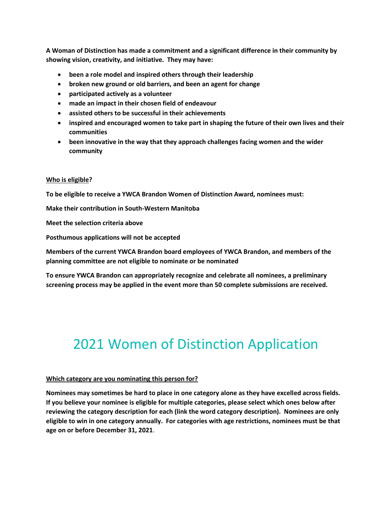**A Woman of Distinction has made a commitment and a significant difference in their community by showing vision, creativity, and initiative. They may have:**

- **been a role model and inspired others through their leadership**
- **broken new ground or old barriers, and been an agent for change**
- **participated actively as a volunteer**
- **made an impact in their chosen field of endeavour**
- **assisted others to be successful in their achievements**
- **inspired and encouraged women to take part in shaping the future of their own lives and their communities**
- **been innovative in the way that they approach challenges facing women and the wider community**

#### **Who is eligible?**

**To be eligible to receive a YWCA Brandon Women of Distinction Award, nominees must:**

**Make their contribution in South-Western Manitoba**

**Meet the selection criteria above**

**Posthumous applications will not be accepted**

**Members of the current YWCA Brandon board employees of YWCA Brandon, and members of the planning committee are not eligible to nominate or be nominated**

**To ensure YWCA Brandon can appropriately recognize and celebrate all nominees, a preliminary screening process may be applied in the event more than 50 complete submissions are received.**

# 2021 Women of Distinction Application

#### **Which category are you nominating this person for?**

**Nominees may sometimes be hard to place in one category alone as they have excelled across fields. If you believe your nominee is eligible for multiple categories, please select which ones below after reviewing the category description for each (link the word category description). Nominees are only eligible to win in one category annually. For categories with age restrictions, nominees must be that age on or before December 31, 2021**.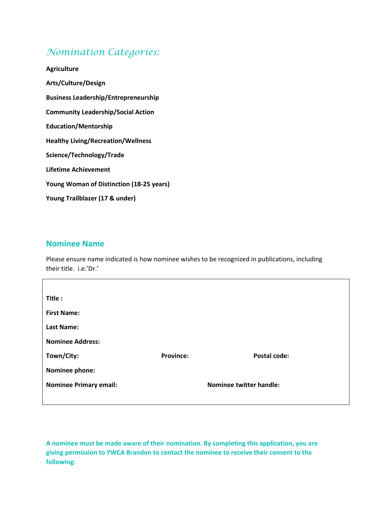## *Nomination Categories:*

**Agriculture Arts/Culture/Design Business Leadership/Entrepreneurship Community Leadership/Social Action Education/Mentorship Healthy Living/Recreation/Wellness Science/Technology/Trade Lifetime Achievement Young Woman of Distinction (18-25 years) Young Trailblazer (17 & under)** 

## **Nominee Name**

Please ensure name indicated is how nominee wishes to be recognized in publications, including their title. i.e.'Dr.'

| Title:                        |                                |                     |
|-------------------------------|--------------------------------|---------------------|
| <b>First Name:</b>            |                                |                     |
| Last Name:                    |                                |                     |
| <b>Nominee Address:</b>       |                                |                     |
| Town/City:                    | <b>Province:</b>               | <b>Postal code:</b> |
| <b>Nominee phone:</b>         |                                |                     |
| <b>Nominee Primary email:</b> | <b>Nominee twitter handle:</b> |                     |
|                               |                                |                     |

**A nominee must be made aware of their nomination. By completing this application, you are giving permission to YWCA Brandon to contact the nominee to receive their consent to the following:**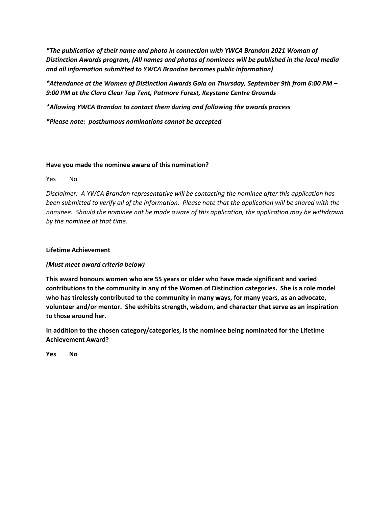*\*The publication of their name and photo in connection with YWCA Brandon 2021 Woman of Distinction Awards program, (All names and photos of nominees will be published in the local media and all information submitted to YWCA Brandon becomes public information)*

*\*Attendance at the Women of Distinction Awards Gala on Thursday, September 9th from 6:00 PM – 9:00 PM at the Clara Clear Top Tent, Patmore Forest, Keystone Centre Grounds*

*\*Allowing YWCA Brandon to contact them during and following the awards process*

*\*Please note: posthumous nominations cannot be accepted*

#### **Have you made the nominee aware of this nomination?**

Yes No

*Disclaimer: A YWCA Brandon representative will be contacting the nominee after this application has been submitted to verify all of the information. Please note that the application will be shared with the nominee. Should the nominee not be made aware of this application, the application may be withdrawn by the nominee at that time.* 

#### **Lifetime Achievement**

#### *(Must meet award criteria below)*

**This award honours women who are 55 years or older who have made significant and varied contributions to the community in any of the Women of Distinction categories. She is a role model who has tirelessly contributed to the community in many ways, for many years, as an advocate, volunteer and/or mentor. She exhibits strength, wisdom, and character that serve as an inspiration to those around her.** 

**In addition to the chosen category/categories, is the nominee being nominated for the Lifetime Achievement Award?** 

**Yes No**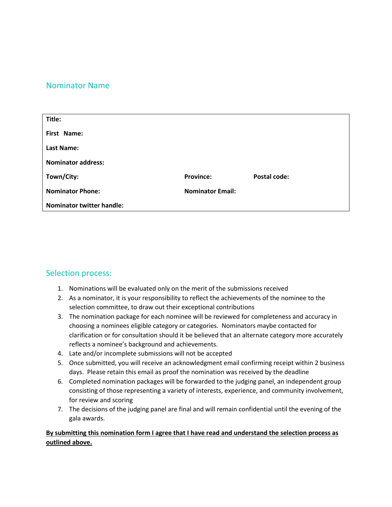## Nominator Name

| Title:                           |                         |                     |  |
|----------------------------------|-------------------------|---------------------|--|
| First Name:                      |                         |                     |  |
| <b>Last Name:</b>                |                         |                     |  |
| <b>Nominator address:</b>        |                         |                     |  |
| Town/City:                       | <b>Province:</b>        | <b>Postal code:</b> |  |
| <b>Nominator Phone:</b>          | <b>Nominator Email:</b> |                     |  |
| <b>Nominator twitter handle:</b> |                         |                     |  |

## Selection process:

- 1. Nominations will be evaluated only on the merit of the submissions received
- 2. As a nominator, it is your responsibility to reflect the achievements of the nominee to the selection committee, to draw out their exceptional contributions
- 3. The nomination package for each nominee will be reviewed for completeness and accuracy in choosing a nominees eligible category or categories. Nominators maybe contacted for clarification or for consultation should it be believed that an alternate category more accurately reflects a nominee's background and achievements.
- 4. Late and/or incomplete submissions will not be accepted
- 5. Once submitted, you will receive an acknowledgment email confirming receipt within 2 business days. Please retain this email as proof the nomination was received by the deadline
- 6. Completed nomination packages will be forwarded to the judging panel, an independent group consisting of those representing a variety of interests, experience, and community involvement, for review and scoring
- 7. The decisions of the judging panel are final and will remain confidential until the evening of the gala awards.

### **By submitting this nomination form I agree that I have read and understand the selection process as outlined above.**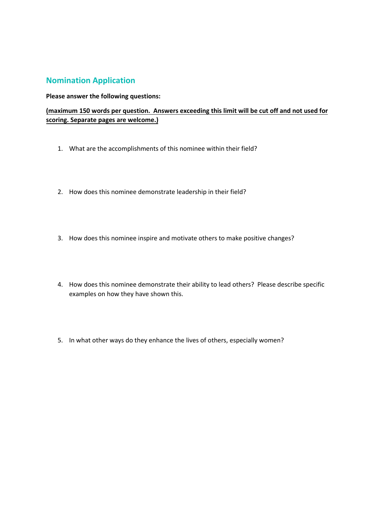## **Nomination Application**

#### **Please answer the following questions:**

## **(maximum 150 words per question. Answers exceeding this limit will be cut off and not used for scoring. Separate pages are welcome.)**

- 1. What are the accomplishments of this nominee within their field?
- 2. How does this nominee demonstrate leadership in their field?
- 3. How does this nominee inspire and motivate others to make positive changes?
- 4. How does this nominee demonstrate their ability to lead others? Please describe specific examples on how they have shown this.
- 5. In what other ways do they enhance the lives of others, especially women?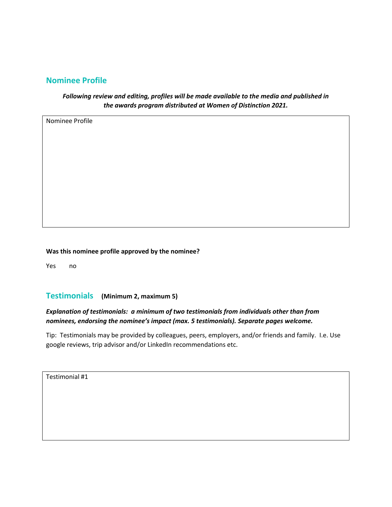## **Nominee Profile**

*Following review and editing, profiles will be made available to the media and published in the awards program distributed at Women of Distinction 2021.* 

Nominee Profile

#### **Was this nominee profile approved by the nominee?**

Yes no

### **Testimonials (Minimum 2, maximum 5)**

### *Explanation of testimonials: a minimum of two testimonials from individuals other than from nominees, endorsing the nominee's impact (max. 5 testimonials). Separate pages welcome.*

Tip: Testimonials may be provided by colleagues, peers, employers, and/or friends and family. I.e. Use google reviews, trip advisor and/or LinkedIn recommendations etc.

Testimonial #1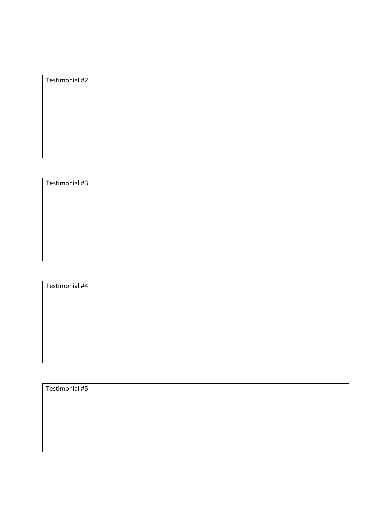Testimonial #2

Testimonial #3

Testimonial #4

Testimonial #5